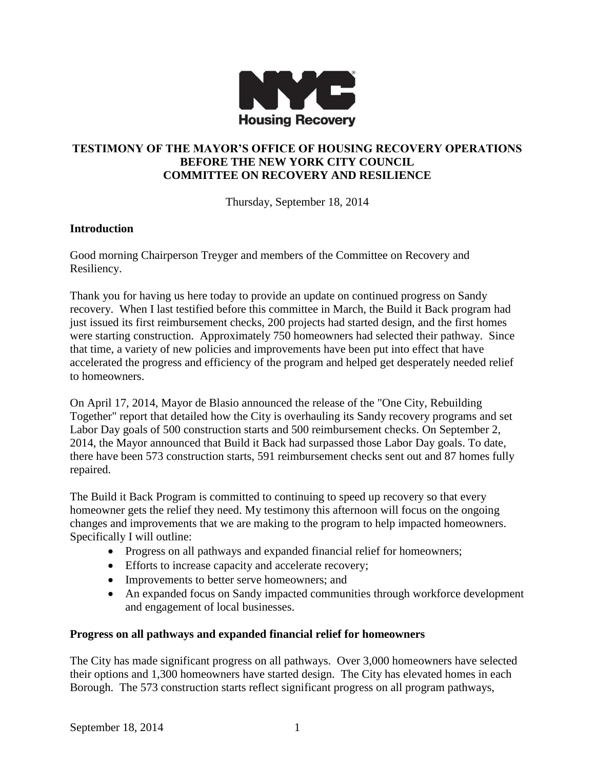

# **TESTIMONY OF THE MAYOR'S OFFICE OF HOUSING RECOVERY OPERATIONS BEFORE THE NEW YORK CITY COUNCIL COMMITTEE ON RECOVERY AND RESILIENCE**

Thursday, September 18, 2014

### **Introduction**

Good morning Chairperson Treyger and members of the Committee on Recovery and Resiliency.

Thank you for having us here today to provide an update on continued progress on Sandy recovery. When I last testified before this committee in March, the Build it Back program had just issued its first reimbursement checks, 200 projects had started design, and the first homes were starting construction. Approximately 750 homeowners had selected their pathway. Since that time, a variety of new policies and improvements have been put into effect that have accelerated the progress and efficiency of the program and helped get desperately needed relief to homeowners.

On April 17, 2014, Mayor de Blasio announced the release of the "One City, Rebuilding Together" report that detailed how the City is overhauling its Sandy recovery programs and set Labor Day goals of 500 construction starts and 500 reimbursement checks. On September 2, 2014, the Mayor announced that Build it Back had surpassed those Labor Day goals. To date, there have been 573 construction starts, 591 reimbursement checks sent out and 87 homes fully repaired.

The Build it Back Program is committed to continuing to speed up recovery so that every homeowner gets the relief they need. My testimony this afternoon will focus on the ongoing changes and improvements that we are making to the program to help impacted homeowners. Specifically I will outline:

- Progress on all pathways and expanded financial relief for homeowners;
- Efforts to increase capacity and accelerate recovery;
- Improvements to better serve homeowners; and
- An expanded focus on Sandy impacted communities through workforce development and engagement of local businesses.

#### **Progress on all pathways and expanded financial relief for homeowners**

The City has made significant progress on all pathways. Over 3,000 homeowners have selected their options and 1,300 homeowners have started design. The City has elevated homes in each Borough. The 573 construction starts reflect significant progress on all program pathways,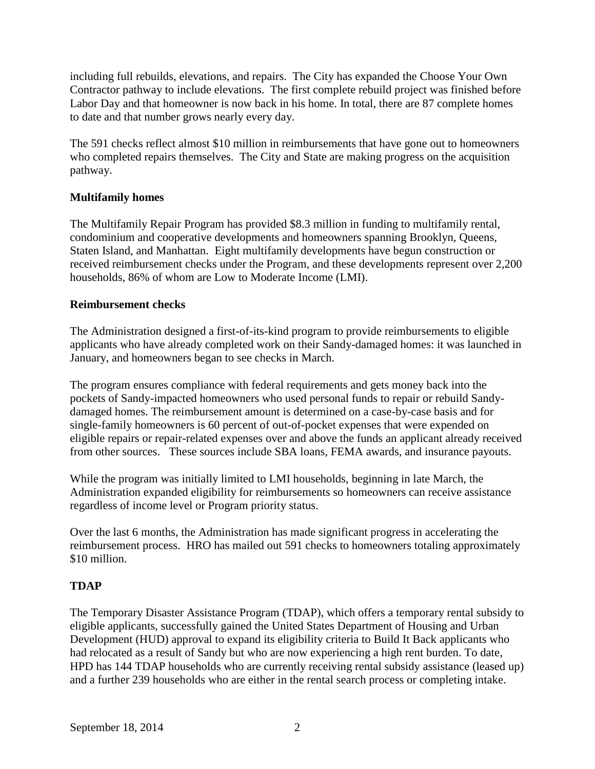including full rebuilds, elevations, and repairs. The City has expanded the Choose Your Own Contractor pathway to include elevations. The first complete rebuild project was finished before Labor Day and that homeowner is now back in his home. In total, there are 87 complete homes to date and that number grows nearly every day.

The 591 checks reflect almost \$10 million in reimbursements that have gone out to homeowners who completed repairs themselves. The City and State are making progress on the acquisition pathway.

## **Multifamily homes**

The Multifamily Repair Program has provided \$8.3 million in funding to multifamily rental, condominium and cooperative developments and homeowners spanning Brooklyn, Queens, Staten Island, and Manhattan. Eight multifamily developments have begun construction or received reimbursement checks under the Program, and these developments represent over 2,200 households, 86% of whom are Low to Moderate Income (LMI).

### **Reimbursement checks**

The Administration designed a first-of-its-kind program to provide reimbursements to eligible applicants who have already completed work on their Sandy-damaged homes: it was launched in January, and homeowners began to see checks in March.

The program ensures compliance with federal requirements and gets money back into the pockets of Sandy-impacted homeowners who used personal funds to repair or rebuild Sandydamaged homes. The reimbursement amount is determined on a case-by-case basis and for single-family homeowners is 60 percent of out-of-pocket expenses that were expended on eligible repairs or repair-related expenses over and above the funds an applicant already received from other sources. These sources include SBA loans, FEMA awards, and insurance payouts.

While the program was initially limited to LMI households, beginning in late March, the Administration expanded eligibility for reimbursements so homeowners can receive assistance regardless of income level or Program priority status.

Over the last 6 months, the Administration has made significant progress in accelerating the reimbursement process. HRO has mailed out 591 checks to homeowners totaling approximately \$10 million.

# **TDAP**

The Temporary Disaster Assistance Program (TDAP), which offers a temporary rental subsidy to eligible applicants, successfully gained the United States Department of Housing and Urban Development (HUD) approval to expand its eligibility criteria to Build It Back applicants who had relocated as a result of Sandy but who are now experiencing a high rent burden. To date, HPD has 144 TDAP households who are currently receiving rental subsidy assistance (leased up) and a further 239 households who are either in the rental search process or completing intake.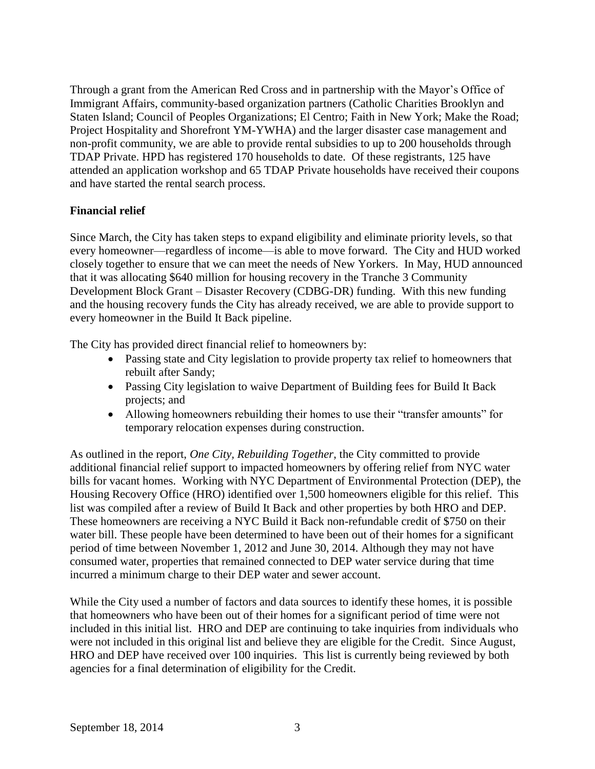Through a grant from the American Red Cross and in partnership with the Mayor's Office of Immigrant Affairs, community-based organization partners (Catholic Charities Brooklyn and Staten Island; Council of Peoples Organizations; El Centro; Faith in New York; Make the Road; Project Hospitality and Shorefront YM-YWHA) and the larger disaster case management and non-profit community, we are able to provide rental subsidies to up to 200 households through TDAP Private. HPD has registered 170 households to date. Of these registrants, 125 have attended an application workshop and 65 TDAP Private households have received their coupons and have started the rental search process.

# **Financial relief**

Since March, the City has taken steps to expand eligibility and eliminate priority levels, so that every homeowner—regardless of income—is able to move forward. The City and HUD worked closely together to ensure that we can meet the needs of New Yorkers. In May, HUD announced that it was allocating \$640 million for housing recovery in the Tranche 3 Community Development Block Grant – Disaster Recovery (CDBG-DR) funding. With this new funding and the housing recovery funds the City has already received, we are able to provide support to every homeowner in the Build It Back pipeline.

The City has provided direct financial relief to homeowners by:

- Passing state and City legislation to provide property tax relief to homeowners that rebuilt after Sandy;
- Passing City legislation to waive Department of Building fees for Build It Back projects; and
- Allowing homeowners rebuilding their homes to use their "transfer amounts" for temporary relocation expenses during construction.

As outlined in the report, *One City, Rebuilding Together*, the City committed to provide additional financial relief support to impacted homeowners by offering relief from NYC water bills for vacant homes. Working with NYC Department of Environmental Protection (DEP), the Housing Recovery Office (HRO) identified over 1,500 homeowners eligible for this relief. This list was compiled after a review of Build It Back and other properties by both HRO and DEP. These homeowners are receiving a NYC Build it Back non-refundable credit of \$750 on their water bill. These people have been determined to have been out of their homes for a significant period of time between November 1, 2012 and June 30, 2014. Although they may not have consumed water, properties that remained connected to DEP water service during that time incurred a minimum charge to their DEP water and sewer account.

While the City used a number of factors and data sources to identify these homes, it is possible that homeowners who have been out of their homes for a significant period of time were not included in this initial list. HRO and DEP are continuing to take inquiries from individuals who were not included in this original list and believe they are eligible for the Credit. Since August, HRO and DEP have received over 100 inquiries. This list is currently being reviewed by both agencies for a final determination of eligibility for the Credit.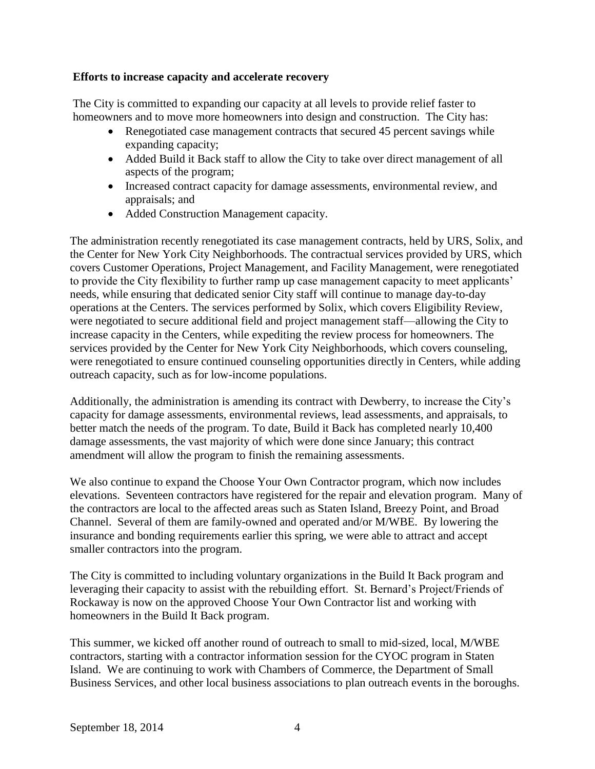#### **Efforts to increase capacity and accelerate recovery**

The City is committed to expanding our capacity at all levels to provide relief faster to homeowners and to move more homeowners into design and construction. The City has:

- Renegotiated case management contracts that secured 45 percent savings while expanding capacity;
- Added Build it Back staff to allow the City to take over direct management of all aspects of the program;
- Increased contract capacity for damage assessments, environmental review, and appraisals; and
- Added Construction Management capacity.

The administration recently renegotiated its case management contracts, held by URS, Solix, and the Center for New York City Neighborhoods. The contractual services provided by URS, which covers Customer Operations, Project Management, and Facility Management, were renegotiated to provide the City flexibility to further ramp up case management capacity to meet applicants' needs, while ensuring that dedicated senior City staff will continue to manage day-to-day operations at the Centers. The services performed by Solix, which covers Eligibility Review, were negotiated to secure additional field and project management staff—allowing the City to increase capacity in the Centers, while expediting the review process for homeowners. The services provided by the Center for New York City Neighborhoods, which covers counseling, were renegotiated to ensure continued counseling opportunities directly in Centers, while adding outreach capacity, such as for low-income populations.

Additionally, the administration is amending its contract with Dewberry, to increase the City's capacity for damage assessments, environmental reviews, lead assessments, and appraisals, to better match the needs of the program. To date, Build it Back has completed nearly 10,400 damage assessments, the vast majority of which were done since January; this contract amendment will allow the program to finish the remaining assessments.

We also continue to expand the Choose Your Own Contractor program, which now includes elevations. Seventeen contractors have registered for the repair and elevation program. Many of the contractors are local to the affected areas such as Staten Island, Breezy Point, and Broad Channel. Several of them are family-owned and operated and/or M/WBE. By lowering the insurance and bonding requirements earlier this spring, we were able to attract and accept smaller contractors into the program.

The City is committed to including voluntary organizations in the Build It Back program and leveraging their capacity to assist with the rebuilding effort. St. Bernard's Project/Friends of Rockaway is now on the approved Choose Your Own Contractor list and working with homeowners in the Build It Back program.

This summer, we kicked off another round of outreach to small to mid-sized, local, M/WBE contractors, starting with a contractor information session for the CYOC program in Staten Island. We are continuing to work with Chambers of Commerce, the Department of Small Business Services, and other local business associations to plan outreach events in the boroughs.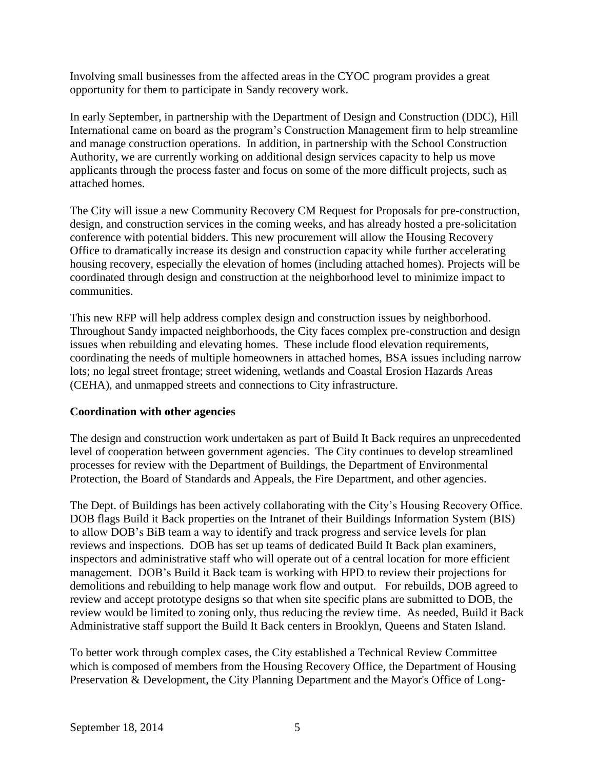Involving small businesses from the affected areas in the CYOC program provides a great opportunity for them to participate in Sandy recovery work.

In early September, in partnership with the Department of Design and Construction (DDC), Hill International came on board as the program's Construction Management firm to help streamline and manage construction operations. In addition, in partnership with the School Construction Authority, we are currently working on additional design services capacity to help us move applicants through the process faster and focus on some of the more difficult projects, such as attached homes.

The City will issue a new Community Recovery CM Request for Proposals for pre-construction, design, and construction services in the coming weeks, and has already hosted a pre-solicitation conference with potential bidders. This new procurement will allow the Housing Recovery Office to dramatically increase its design and construction capacity while further accelerating housing recovery, especially the elevation of homes (including attached homes). Projects will be coordinated through design and construction at the neighborhood level to minimize impact to communities.

This new RFP will help address complex design and construction issues by neighborhood. Throughout Sandy impacted neighborhoods, the City faces complex pre-construction and design issues when rebuilding and elevating homes. These include flood elevation requirements, coordinating the needs of multiple homeowners in attached homes, BSA issues including narrow lots; no legal street frontage; street widening, wetlands and Coastal Erosion Hazards Areas (CEHA), and unmapped streets and connections to City infrastructure.

# **Coordination with other agencies**

The design and construction work undertaken as part of Build It Back requires an unprecedented level of cooperation between government agencies. The City continues to develop streamlined processes for review with the Department of Buildings, the Department of Environmental Protection, the Board of Standards and Appeals, the Fire Department, and other agencies.

The Dept. of Buildings has been actively collaborating with the City's Housing Recovery Office. DOB flags Build it Back properties on the Intranet of their Buildings Information System (BIS) to allow DOB's BiB team a way to identify and track progress and service levels for plan reviews and inspections. DOB has set up teams of dedicated Build It Back plan examiners, inspectors and administrative staff who will operate out of a central location for more efficient management. DOB's Build it Back team is working with HPD to review their projections for demolitions and rebuilding to help manage work flow and output. For rebuilds, DOB agreed to review and accept prototype designs so that when site specific plans are submitted to DOB, the review would be limited to zoning only, thus reducing the review time. As needed, Build it Back Administrative staff support the Build It Back centers in Brooklyn, Queens and Staten Island.

To better work through complex cases, the City established a Technical Review Committee which is composed of members from the Housing Recovery Office, the Department of Housing Preservation & Development, the City Planning Department and the Mayor's Office of Long-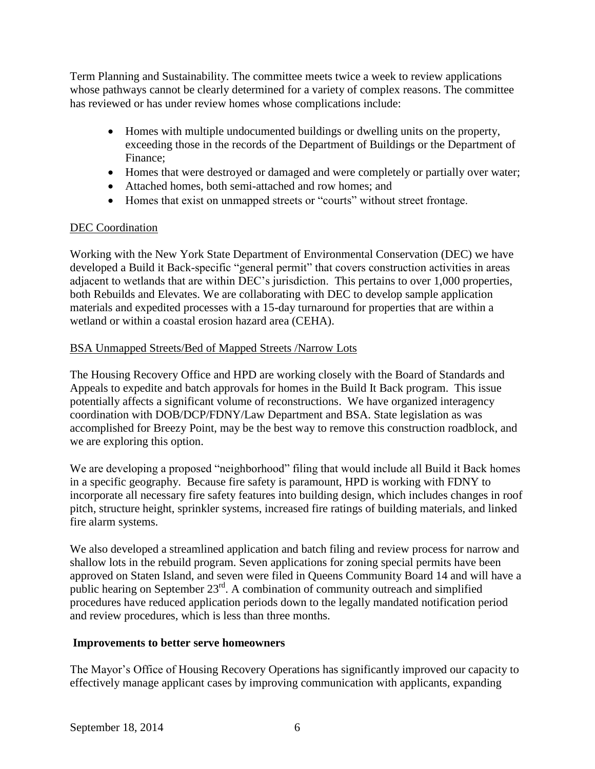Term Planning and Sustainability. The committee meets twice a week to review applications whose pathways cannot be clearly determined for a variety of complex reasons. The committee has reviewed or has under review homes whose complications include:

- Homes with multiple undocumented buildings or dwelling units on the property, exceeding those in the records of the Department of Buildings or the Department of Finance;
- Homes that were destroyed or damaged and were completely or partially over water;
- Attached homes, both semi-attached and row homes; and
- Homes that exist on unmapped streets or "courts" without street frontage.

# DEC Coordination

Working with the New York State Department of Environmental Conservation (DEC) we have developed a Build it Back-specific "general permit" that covers construction activities in areas adjacent to wetlands that are within DEC's jurisdiction. This pertains to over 1,000 properties, both Rebuilds and Elevates. We are collaborating with DEC to develop sample application materials and expedited processes with a 15-day turnaround for properties that are within a wetland or within a coastal erosion hazard area (CEHA).

# BSA Unmapped Streets/Bed of Mapped Streets /Narrow Lots

The Housing Recovery Office and HPD are working closely with the Board of Standards and Appeals to expedite and batch approvals for homes in the Build It Back program. This issue potentially affects a significant volume of reconstructions. We have organized interagency coordination with DOB/DCP/FDNY/Law Department and BSA. State legislation as was accomplished for Breezy Point, may be the best way to remove this construction roadblock, and we are exploring this option.

We are developing a proposed "neighborhood" filing that would include all Build it Back homes in a specific geography. Because fire safety is paramount, HPD is working with FDNY to incorporate all necessary fire safety features into building design, which includes changes in roof pitch, structure height, sprinkler systems, increased fire ratings of building materials, and linked fire alarm systems.

We also developed a streamlined application and batch filing and review process for narrow and shallow lots in the rebuild program. Seven applications for zoning special permits have been approved on Staten Island, and seven were filed in Queens Community Board 14 and will have a public hearing on September 23rd. A combination of community outreach and simplified procedures have reduced application periods down to the legally mandated notification period and review procedures, which is less than three months.

# **Improvements to better serve homeowners**

The Mayor's Office of Housing Recovery Operations has significantly improved our capacity to effectively manage applicant cases by improving communication with applicants, expanding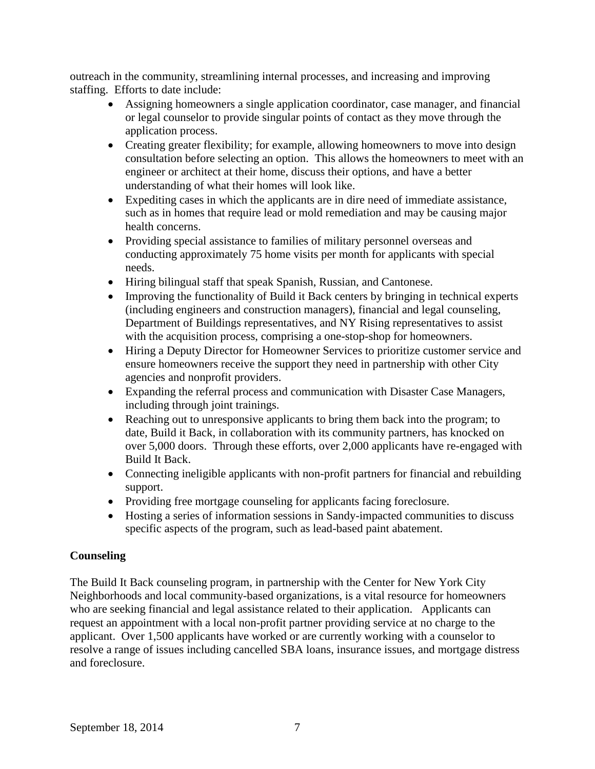outreach in the community, streamlining internal processes, and increasing and improving staffing. Efforts to date include:

- Assigning homeowners a single application coordinator, case manager, and financial or legal counselor to provide singular points of contact as they move through the application process.
- Creating greater flexibility; for example, allowing homeowners to move into design consultation before selecting an option. This allows the homeowners to meet with an engineer or architect at their home, discuss their options, and have a better understanding of what their homes will look like.
- Expediting cases in which the applicants are in dire need of immediate assistance, such as in homes that require lead or mold remediation and may be causing major health concerns.
- Providing special assistance to families of military personnel overseas and conducting approximately 75 home visits per month for applicants with special needs.
- Hiring bilingual staff that speak Spanish, Russian, and Cantonese.
- Improving the functionality of Build it Back centers by bringing in technical experts (including engineers and construction managers), financial and legal counseling, Department of Buildings representatives, and NY Rising representatives to assist with the acquisition process, comprising a one-stop-shop for homeowners.
- Hiring a Deputy Director for Homeowner Services to prioritize customer service and ensure homeowners receive the support they need in partnership with other City agencies and nonprofit providers.
- Expanding the referral process and communication with Disaster Case Managers, including through joint trainings.
- Reaching out to unresponsive applicants to bring them back into the program; to date, Build it Back, in collaboration with its community partners, has knocked on over 5,000 doors. Through these efforts, over 2,000 applicants have re-engaged with Build It Back.
- Connecting ineligible applicants with non-profit partners for financial and rebuilding support.
- Providing free mortgage counseling for applicants facing foreclosure.
- Hosting a series of information sessions in Sandy-impacted communities to discuss specific aspects of the program, such as lead-based paint abatement.

# **Counseling**

The Build It Back counseling program, in partnership with the Center for New York City Neighborhoods and local community-based organizations, is a vital resource for homeowners who are seeking financial and legal assistance related to their application. Applicants can request an appointment with a local non-profit partner providing service at no charge to the applicant. Over 1,500 applicants have worked or are currently working with a counselor to resolve a range of issues including cancelled SBA loans, insurance issues, and mortgage distress and foreclosure.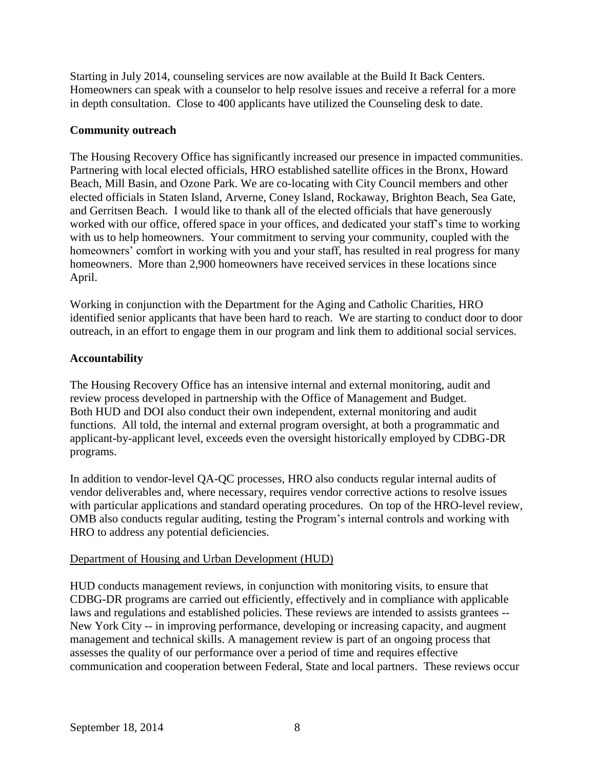Starting in July 2014, counseling services are now available at the Build It Back Centers. Homeowners can speak with a counselor to help resolve issues and receive a referral for a more in depth consultation. Close to 400 applicants have utilized the Counseling desk to date.

## **Community outreach**

The Housing Recovery Office has significantly increased our presence in impacted communities. Partnering with local elected officials, HRO established satellite offices in the Bronx, Howard Beach, Mill Basin, and Ozone Park. We are co-locating with City Council members and other elected officials in Staten Island, Arverne, Coney Island, Rockaway, Brighton Beach, Sea Gate, and Gerritsen Beach. I would like to thank all of the elected officials that have generously worked with our office, offered space in your offices, and dedicated your staff's time to working with us to help homeowners. Your commitment to serving your community, coupled with the homeowners' comfort in working with you and your staff, has resulted in real progress for many homeowners. More than 2,900 homeowners have received services in these locations since April.

Working in conjunction with the Department for the Aging and Catholic Charities, HRO identified senior applicants that have been hard to reach. We are starting to conduct door to door outreach, in an effort to engage them in our program and link them to additional social services.

# **Accountability**

The Housing Recovery Office has an intensive internal and external monitoring, audit and review process developed in partnership with the Office of Management and Budget. Both HUD and DOI also conduct their own independent, external monitoring and audit functions. All told, the internal and external program oversight, at both a programmatic and applicant-by-applicant level, exceeds even the oversight historically employed by CDBG-DR programs.

In addition to vendor-level QA-QC processes, HRO also conducts regular internal audits of vendor deliverables and, where necessary, requires vendor corrective actions to resolve issues with particular applications and standard operating procedures. On top of the HRO-level review, OMB also conducts regular auditing, testing the Program's internal controls and working with HRO to address any potential deficiencies.

# Department of Housing and Urban Development (HUD)

HUD conducts management reviews, in conjunction with monitoring visits, to ensure that CDBG-DR programs are carried out efficiently, effectively and in compliance with applicable laws and regulations and established policies. These reviews are intended to assists grantees -- New York City -- in improving performance, developing or increasing capacity, and augment management and technical skills. A management review is part of an ongoing process that assesses the quality of our performance over a period of time and requires effective communication and cooperation between Federal, State and local partners. These reviews occur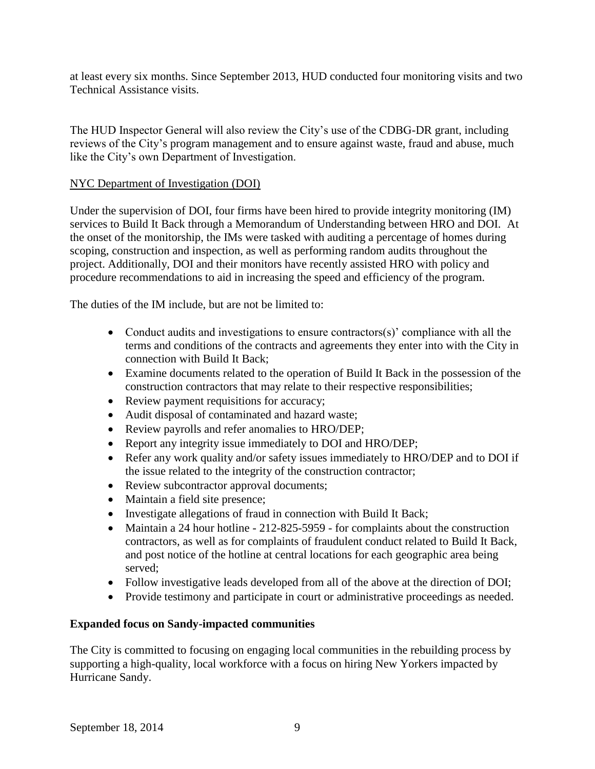at least every six months. Since September 2013, HUD conducted four monitoring visits and two Technical Assistance visits.

The HUD Inspector General will also review the City's use of the CDBG-DR grant, including reviews of the City's program management and to ensure against waste, fraud and abuse, much like the City's own Department of Investigation.

## NYC Department of Investigation (DOI)

Under the supervision of DOI, four firms have been hired to provide integrity monitoring (IM) services to Build It Back through a Memorandum of Understanding between HRO and DOI. At the onset of the monitorship, the IMs were tasked with auditing a percentage of homes during scoping, construction and inspection, as well as performing random audits throughout the project. Additionally, DOI and their monitors have recently assisted HRO with policy and procedure recommendations to aid in increasing the speed and efficiency of the program.

The duties of the IM include, but are not be limited to:

- Conduct audits and investigations to ensure contractors(s)' compliance with all the terms and conditions of the contracts and agreements they enter into with the City in connection with Build It Back;
- Examine documents related to the operation of Build It Back in the possession of the construction contractors that may relate to their respective responsibilities;
- Review payment requisitions for accuracy;
- Audit disposal of contaminated and hazard waste;
- Review payrolls and refer anomalies to HRO/DEP;
- Report any integrity issue immediately to DOI and HRO/DEP;
- Refer any work quality and/or safety issues immediately to HRO/DEP and to DOI if the issue related to the integrity of the construction contractor;
- Review subcontractor approval documents;
- Maintain a field site presence;
- Investigate allegations of fraud in connection with Build It Back;
- Maintain a 24 hour hotline 212-825-5959 for complaints about the construction contractors, as well as for complaints of fraudulent conduct related to Build It Back, and post notice of the hotline at central locations for each geographic area being served;
- Follow investigative leads developed from all of the above at the direction of DOI;
- Provide testimony and participate in court or administrative proceedings as needed.

#### **Expanded focus on Sandy-impacted communities**

The City is committed to focusing on engaging local communities in the rebuilding process by supporting a high-quality, local workforce with a focus on hiring New Yorkers impacted by Hurricane Sandy.